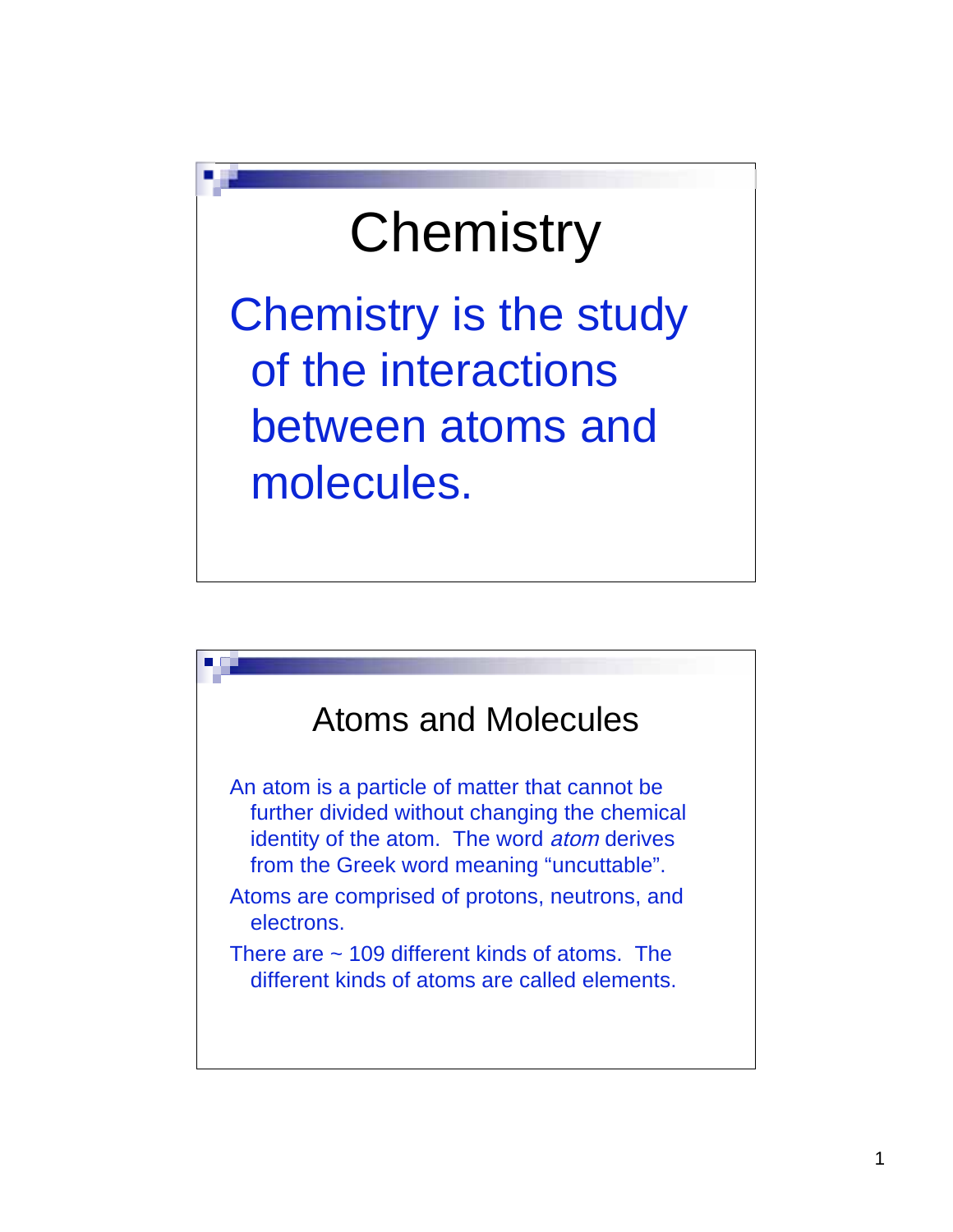## **Chemistry**

Chemistry is the study of the interactions between atoms and molecules.

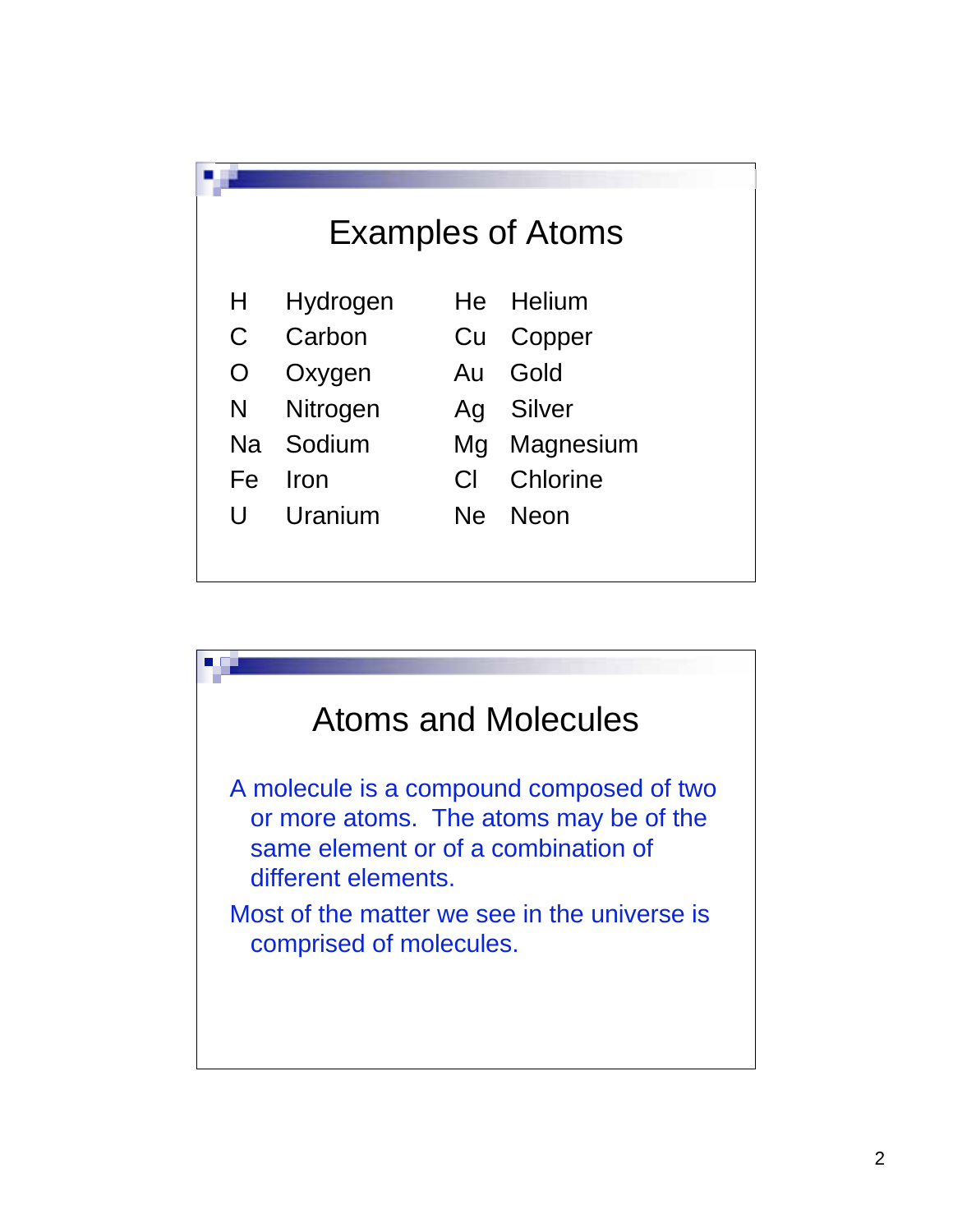

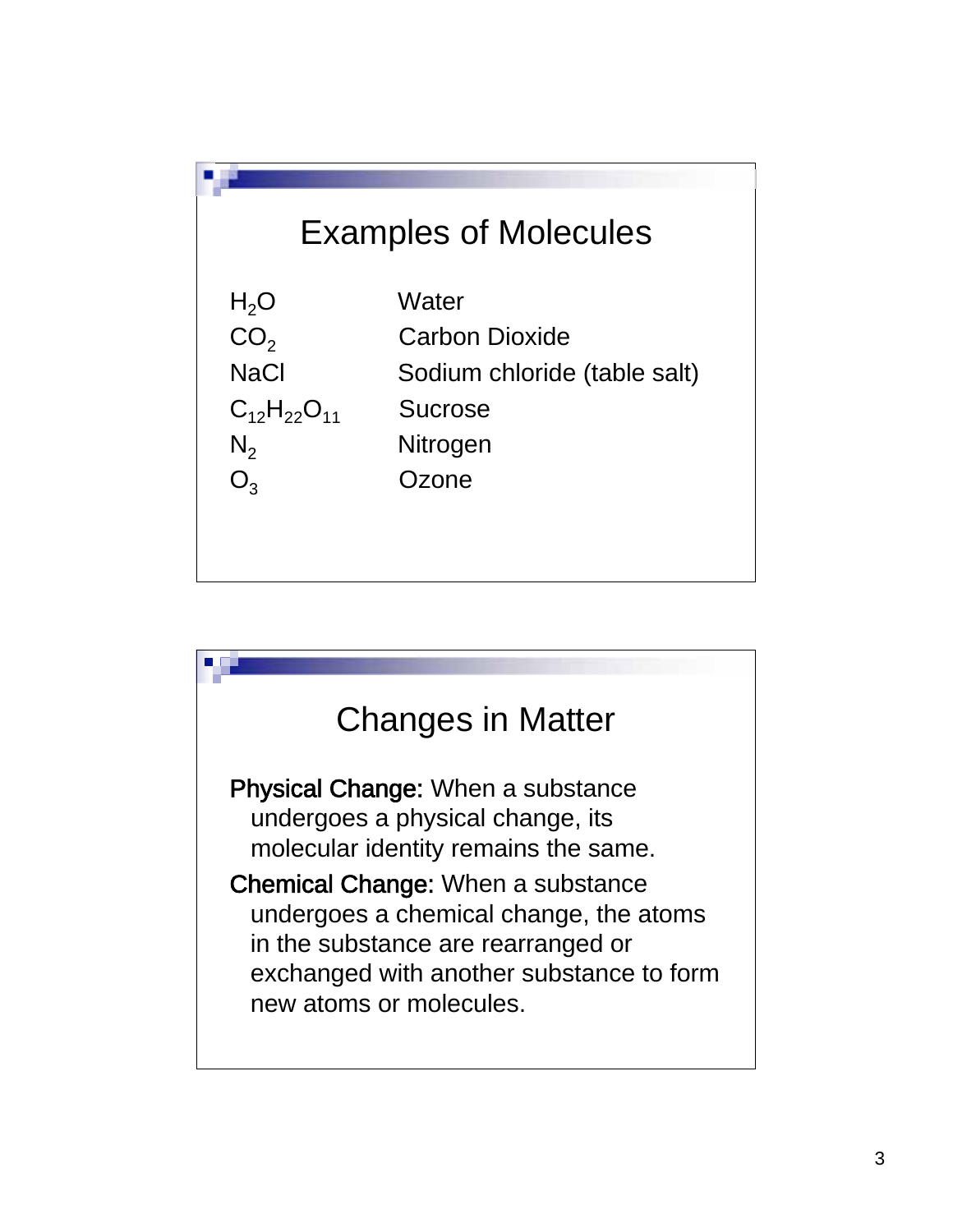

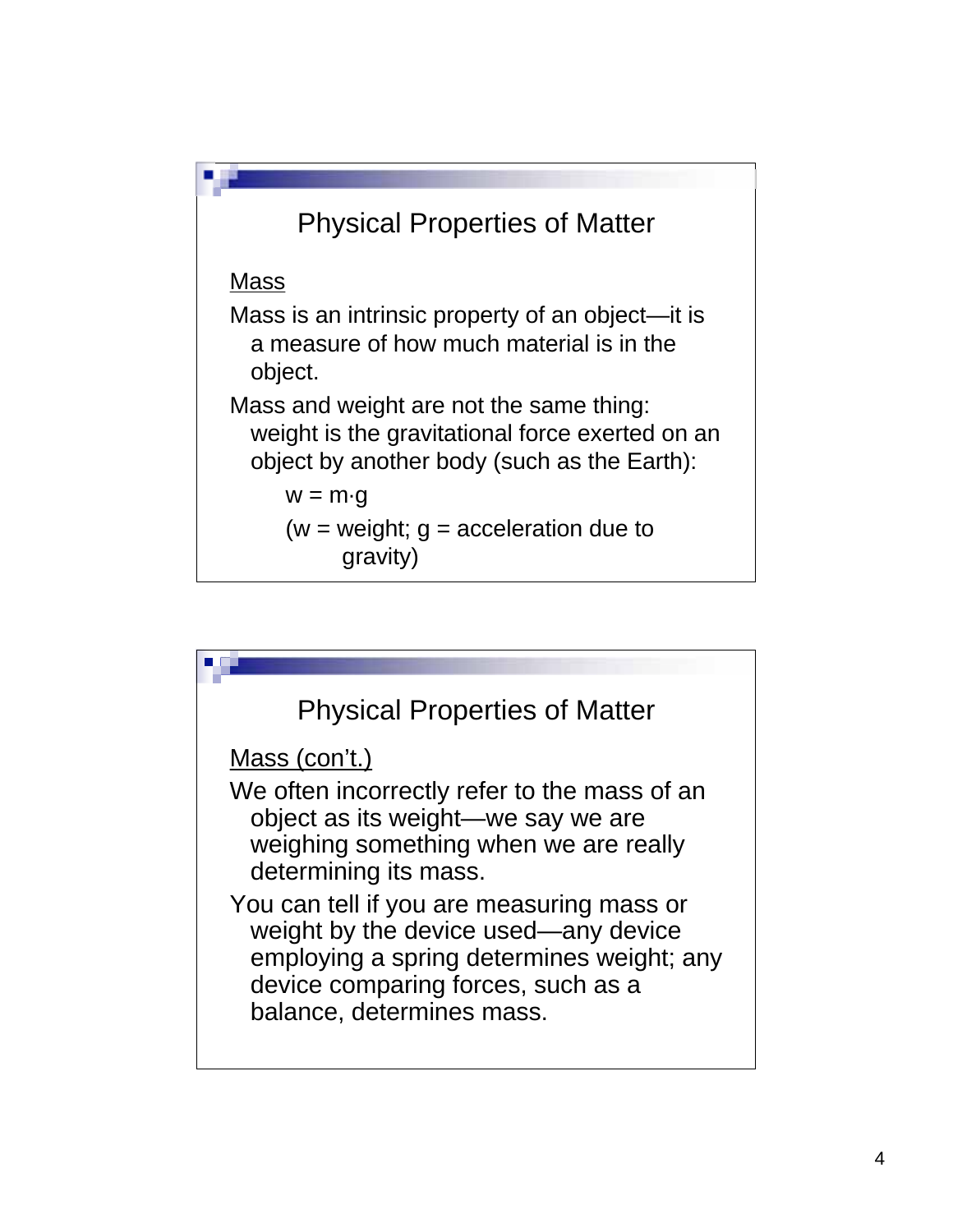

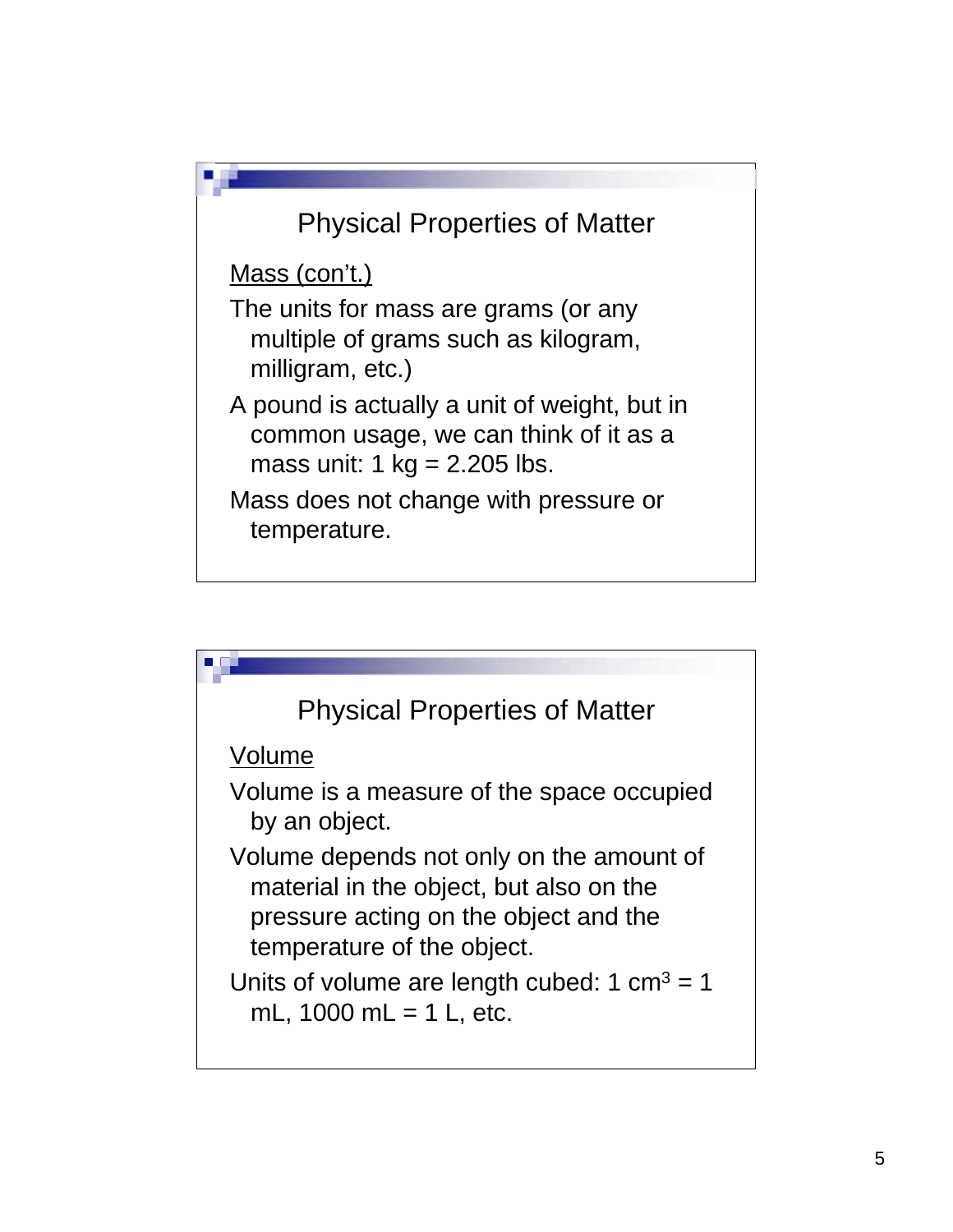

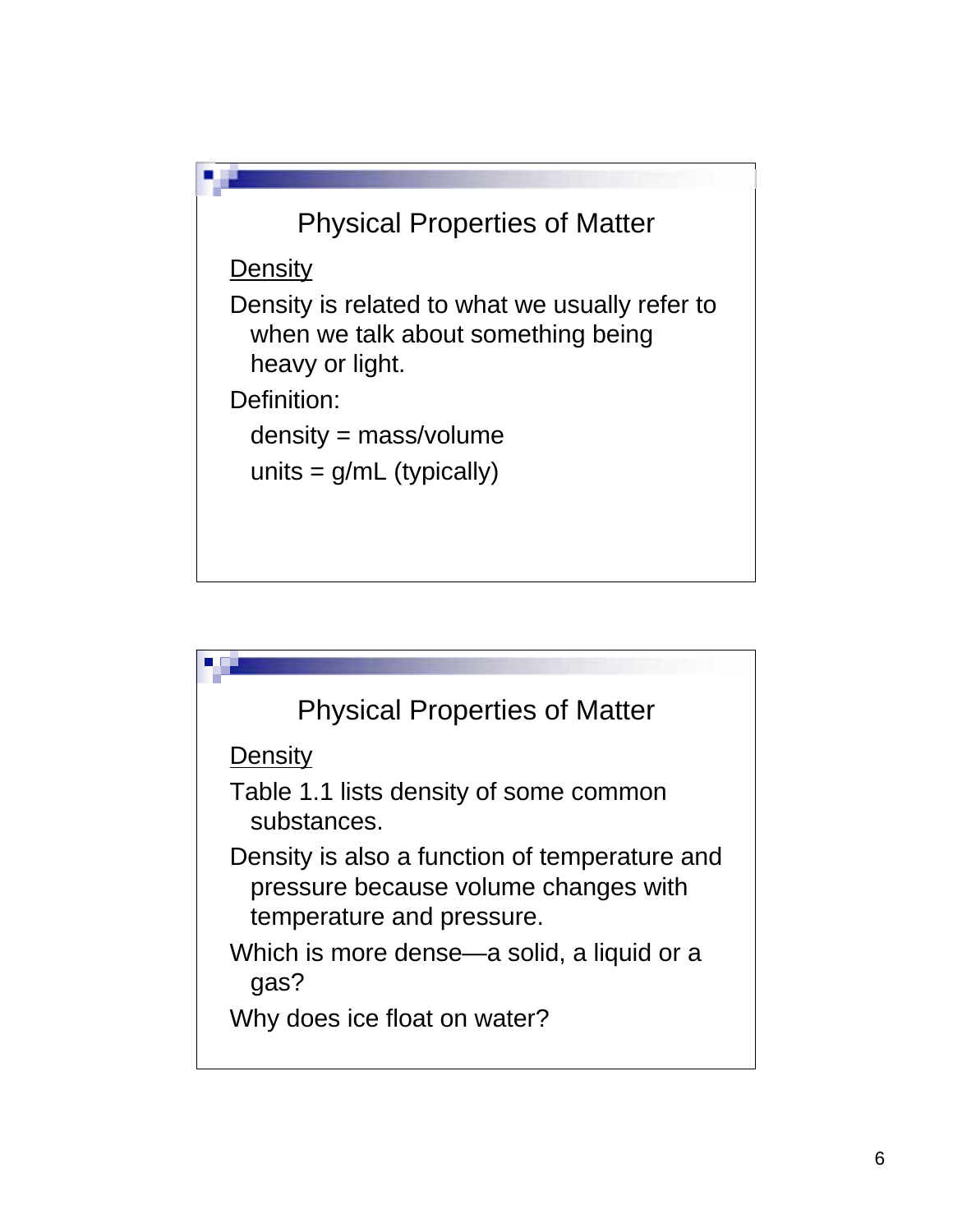

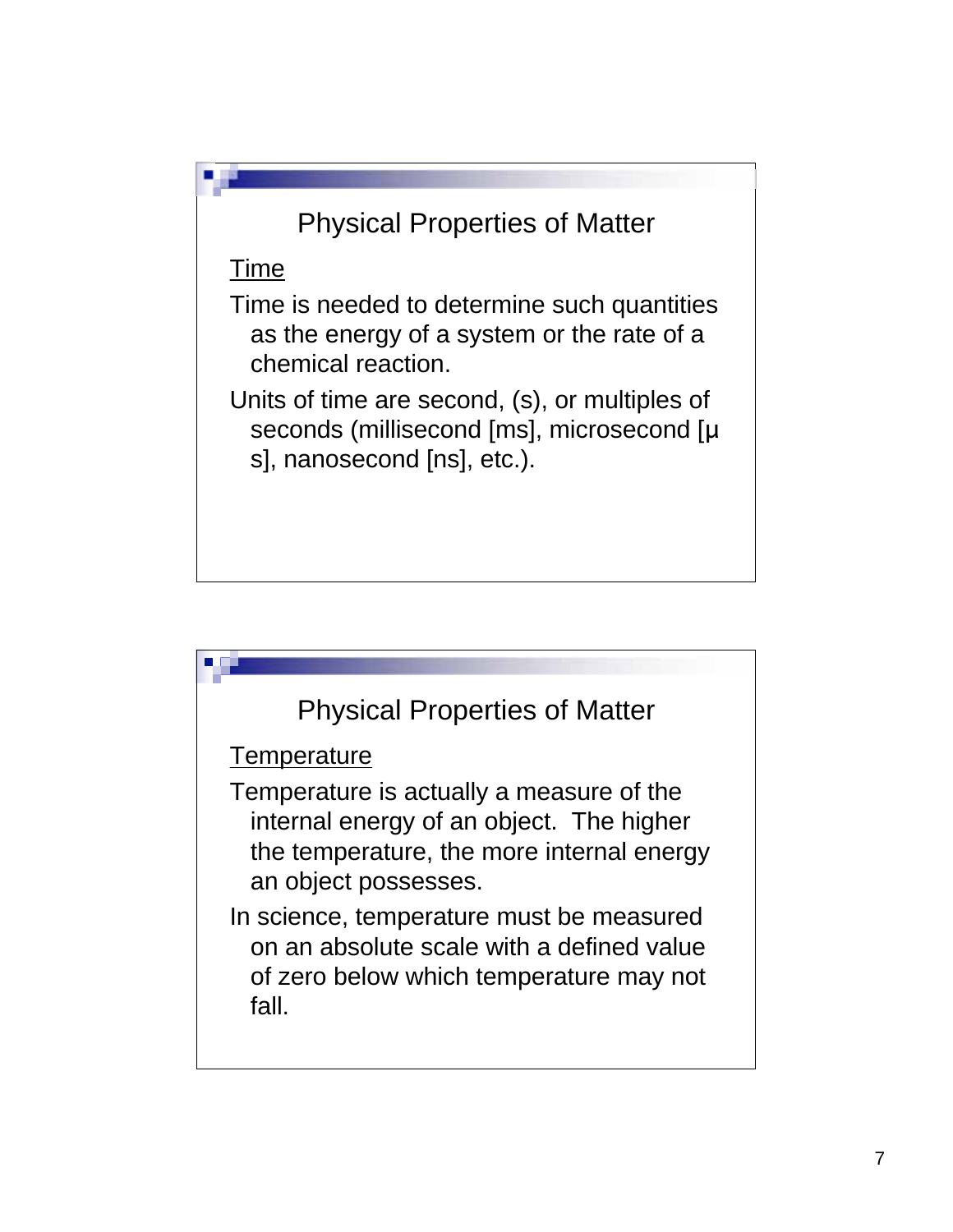## Physical Properties of Matter

Time

Time is needed to determine such quantities as the energy of a system or the rate of a chemical reaction.

Units of time are second, (s), or multiples of seconds (millisecond [ms], microsecond [µ s], nanosecond [ns], etc.).

## Physical Properties of Matter

**Temperature** 

Temperature is actually a measure of the internal energy of an object. The higher the temperature, the more internal energy an object possesses.

In science, temperature must be measured on an absolute scale with a defined value of zero below which temperature may not fall.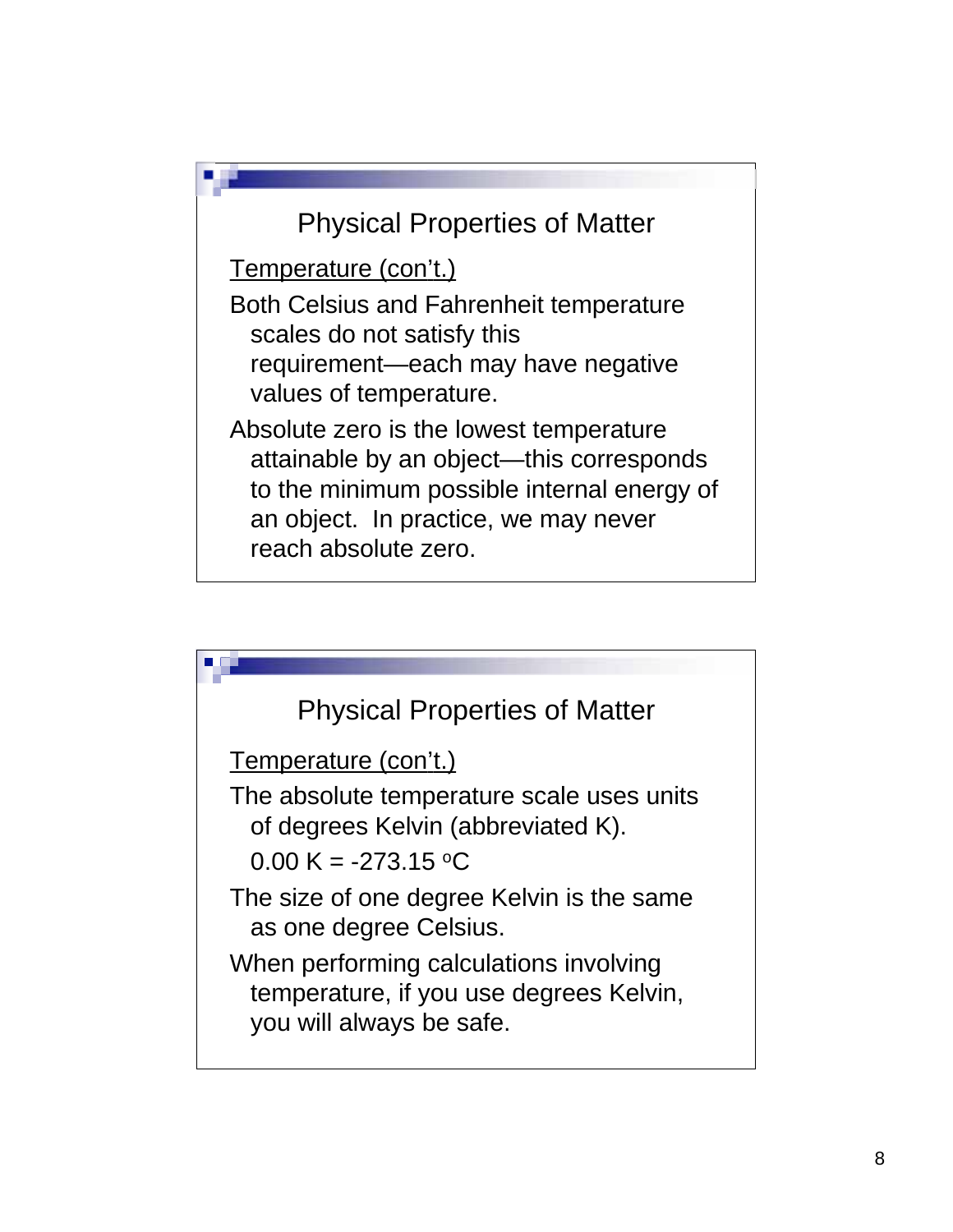

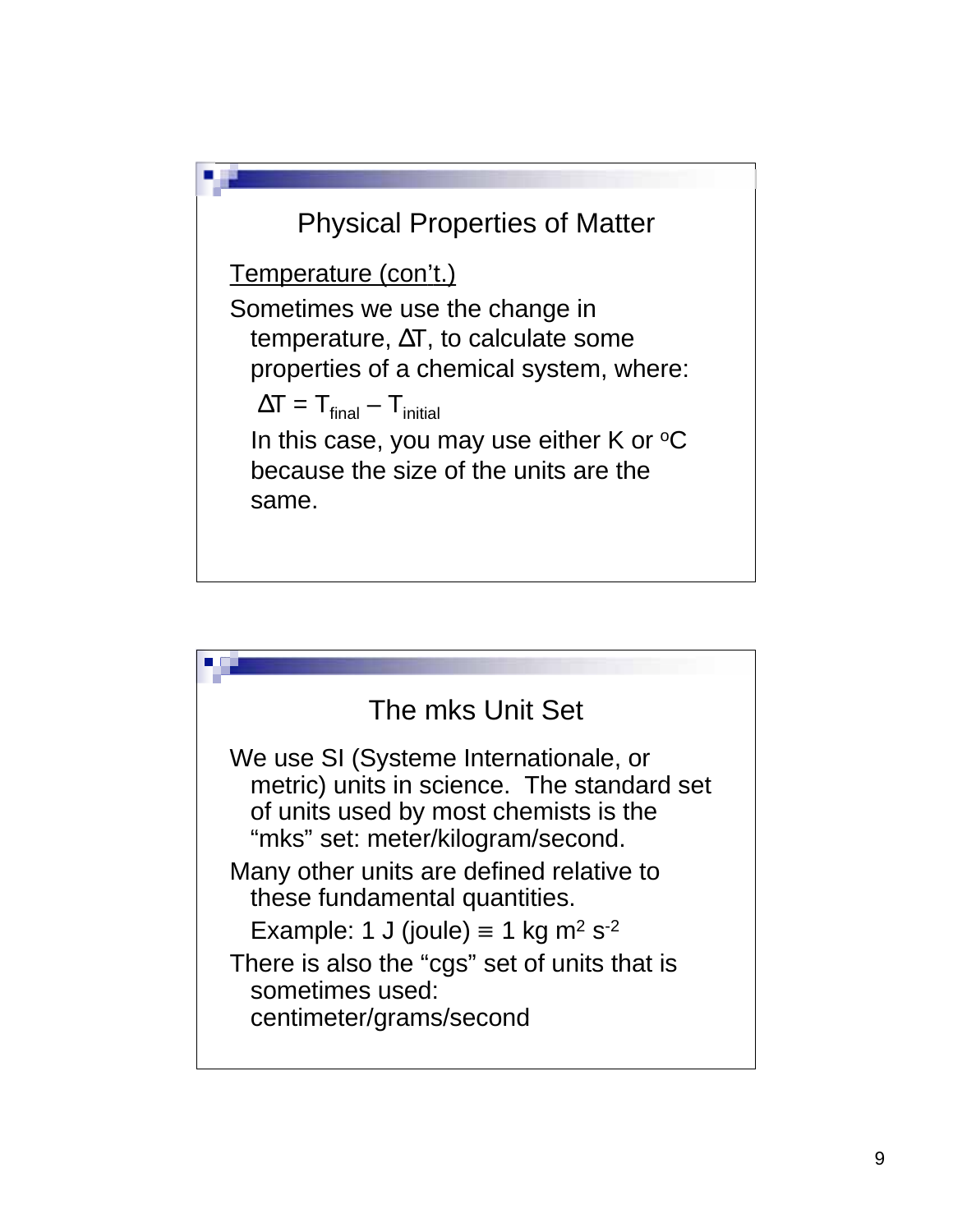

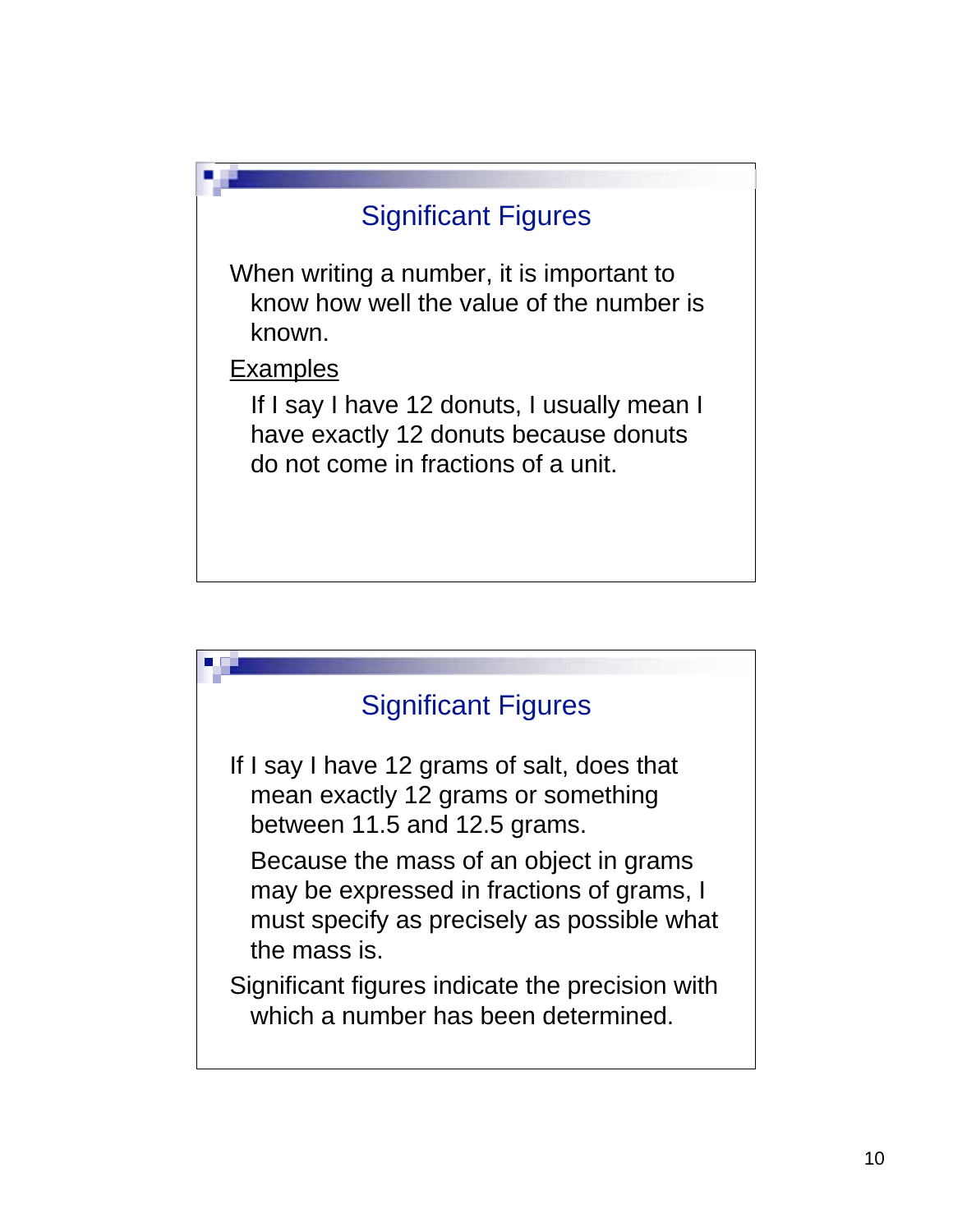



If I say I have 12 grams of salt, does that mean exactly 12 grams or something between 11.5 and 12.5 grams.

Because the mass of an object in grams may be expressed in fractions of grams, I must specify as precisely as possible what the mass is.

Significant figures indicate the precision with which a number has been determined.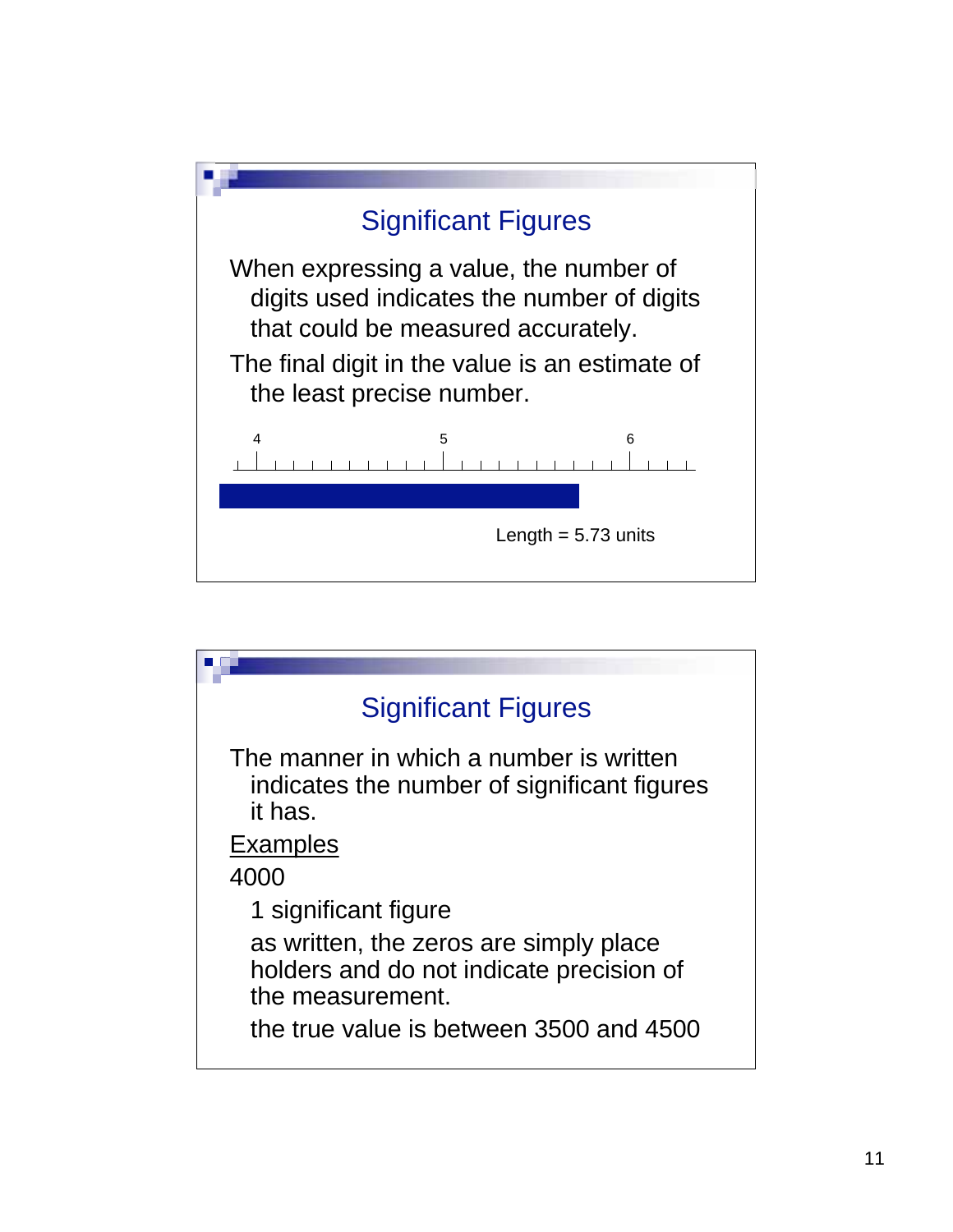

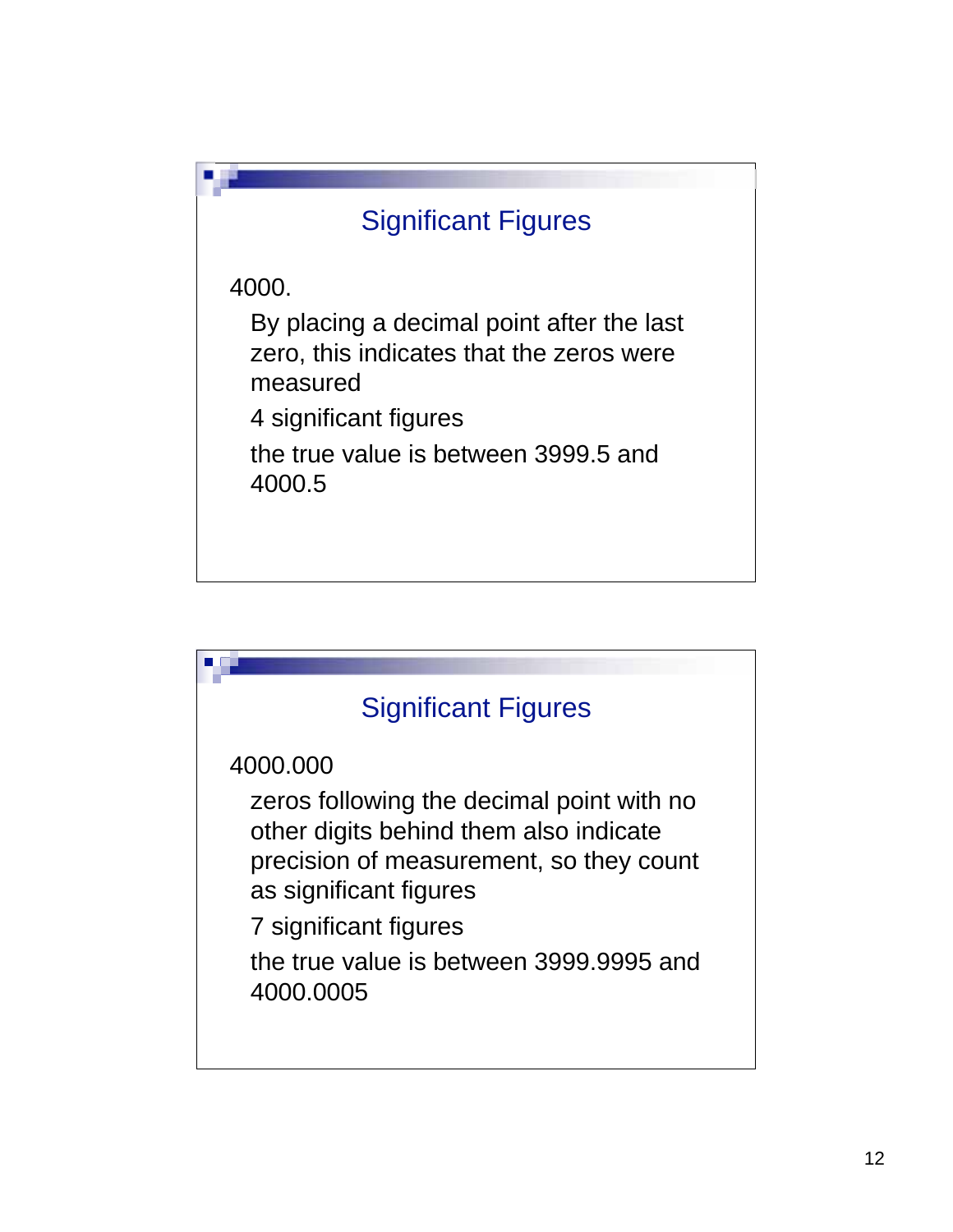

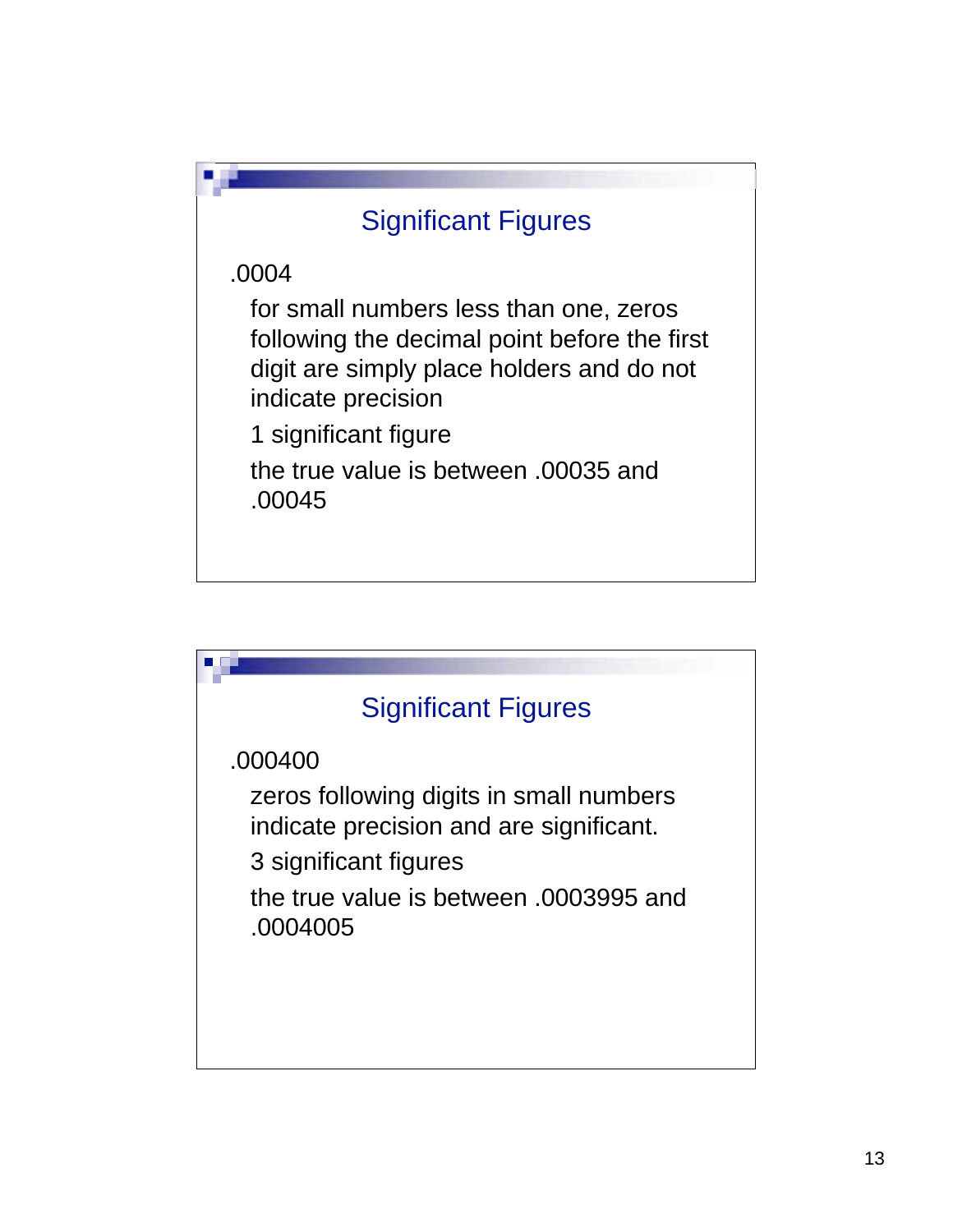

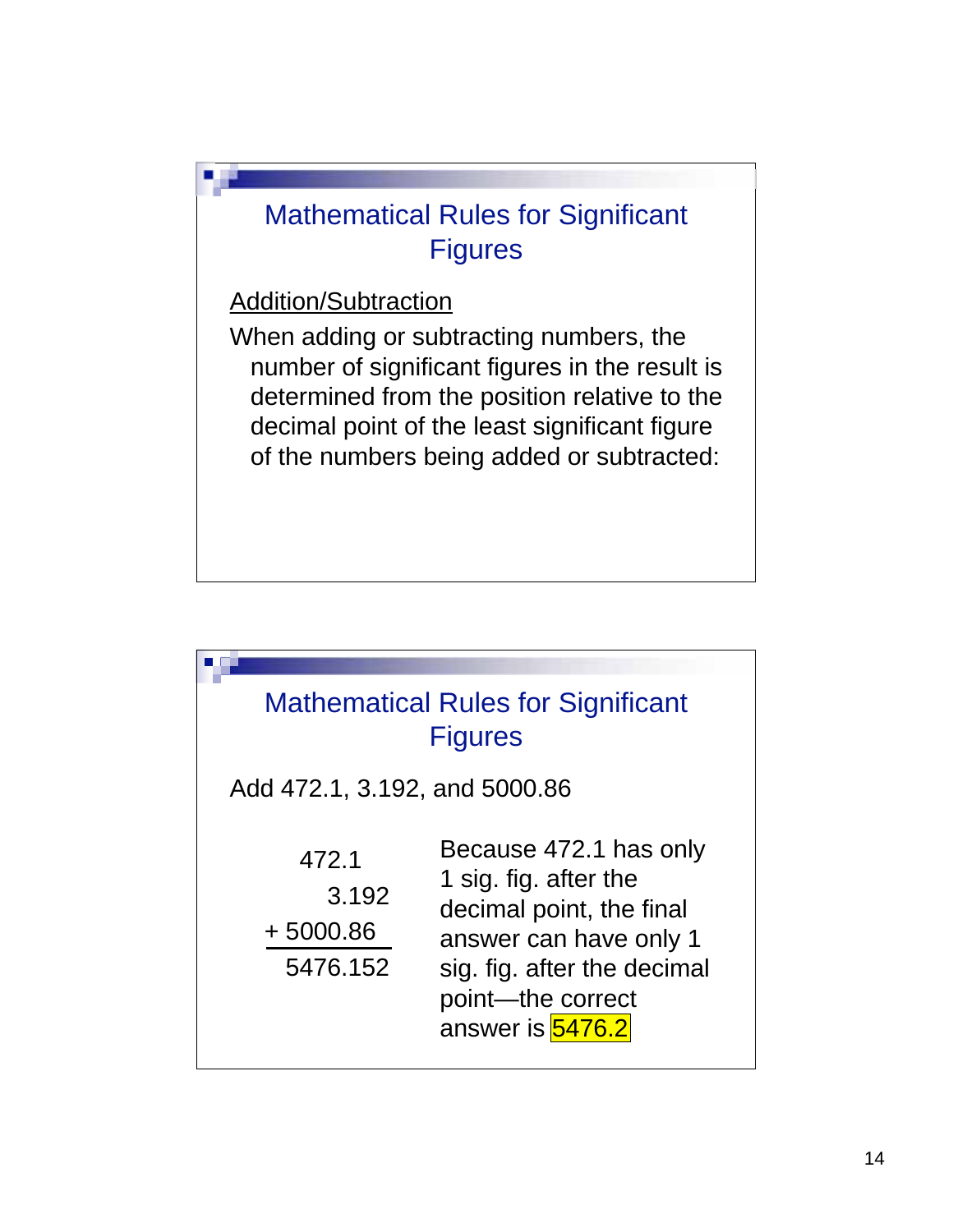

Addition/Subtraction

When adding or subtracting numbers, the number of significant figures in the result is determined from the position relative to the decimal point of the least significant figure of the numbers being added or subtracted:

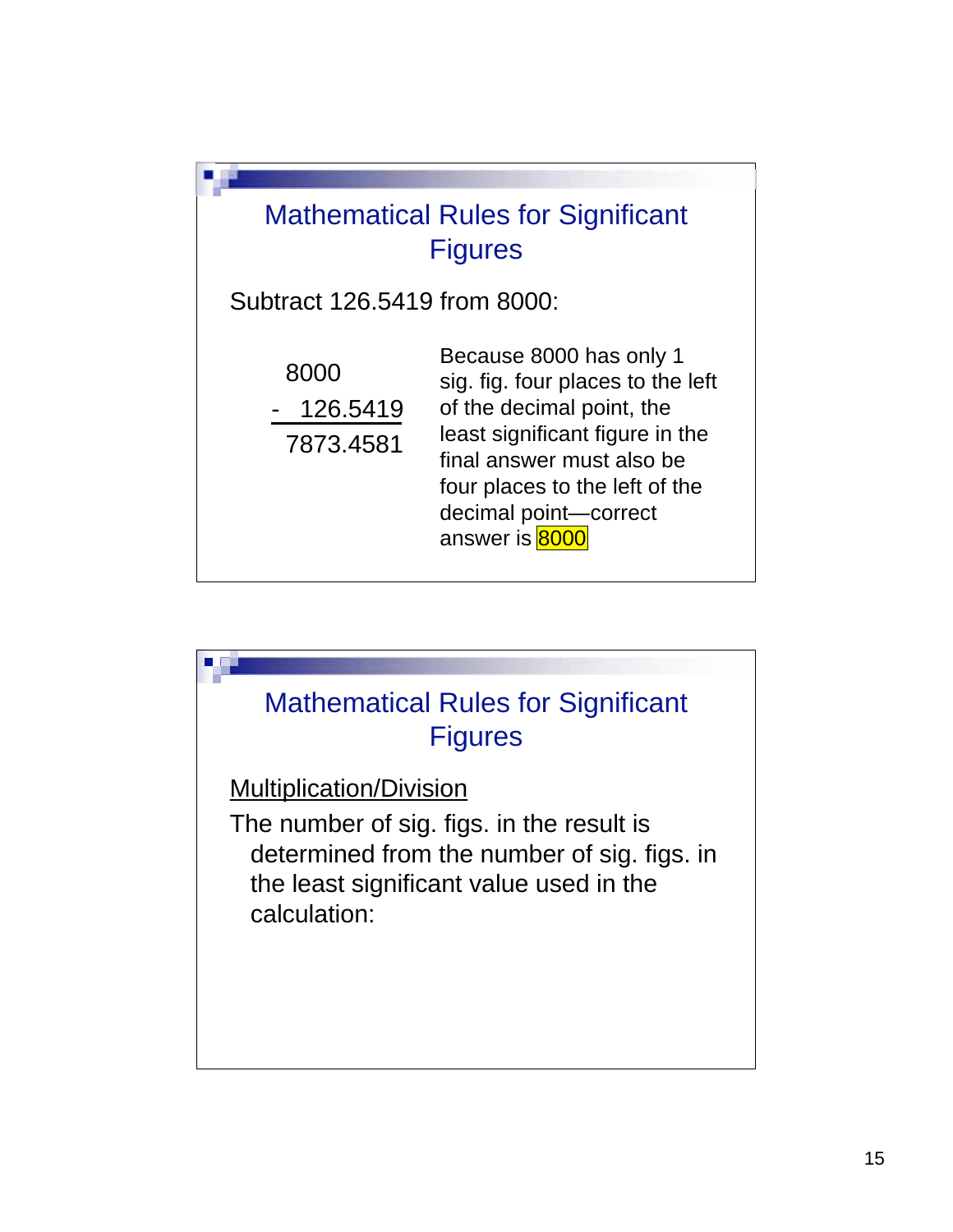

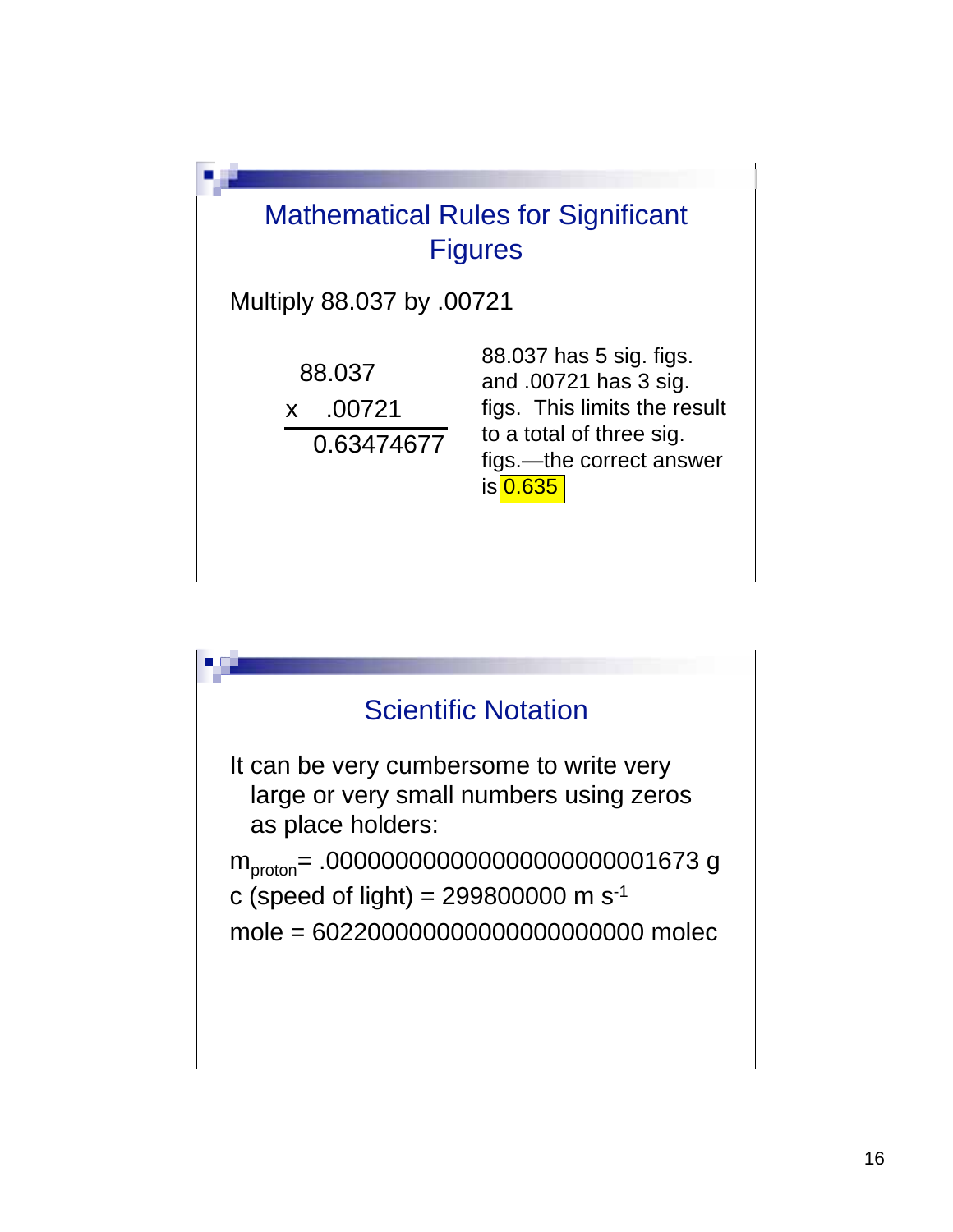

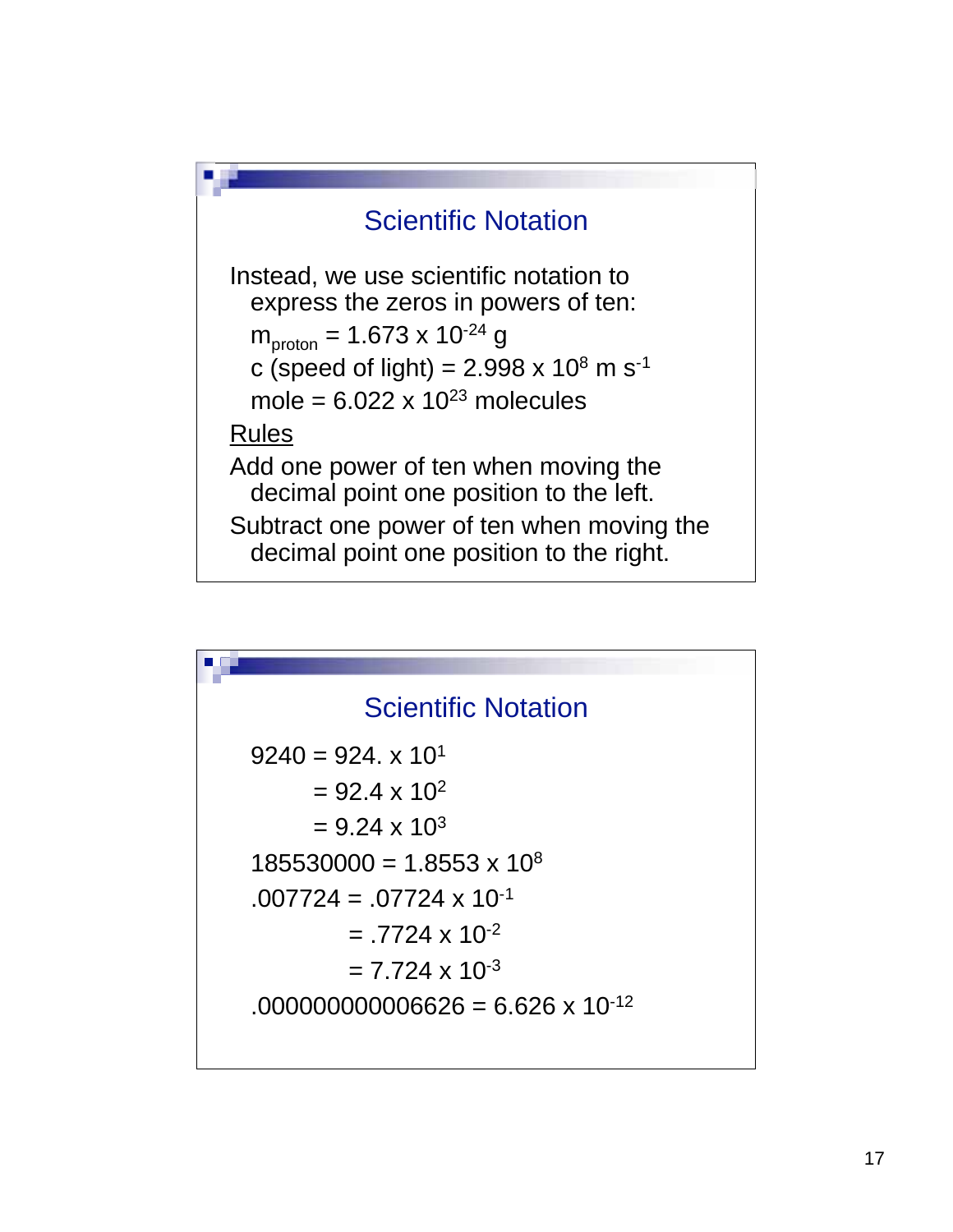

| <b>Scientific Notation</b>                 |
|--------------------------------------------|
| $9240 = 924$ , x 10 <sup>1</sup>           |
| $= 92.4 \times 10^{2}$                     |
| $= 9.24 \times 10^{3}$                     |
| $185530000 = 1.8553 \times 10^8$           |
| $.007724 = .07724 \times 10^{-1}$          |
| $= .7724 \times 10^{-2}$                   |
| $= 7.724 \times 10^{-3}$                   |
| $.000000000006626 = 6.626 \times 10^{-12}$ |
|                                            |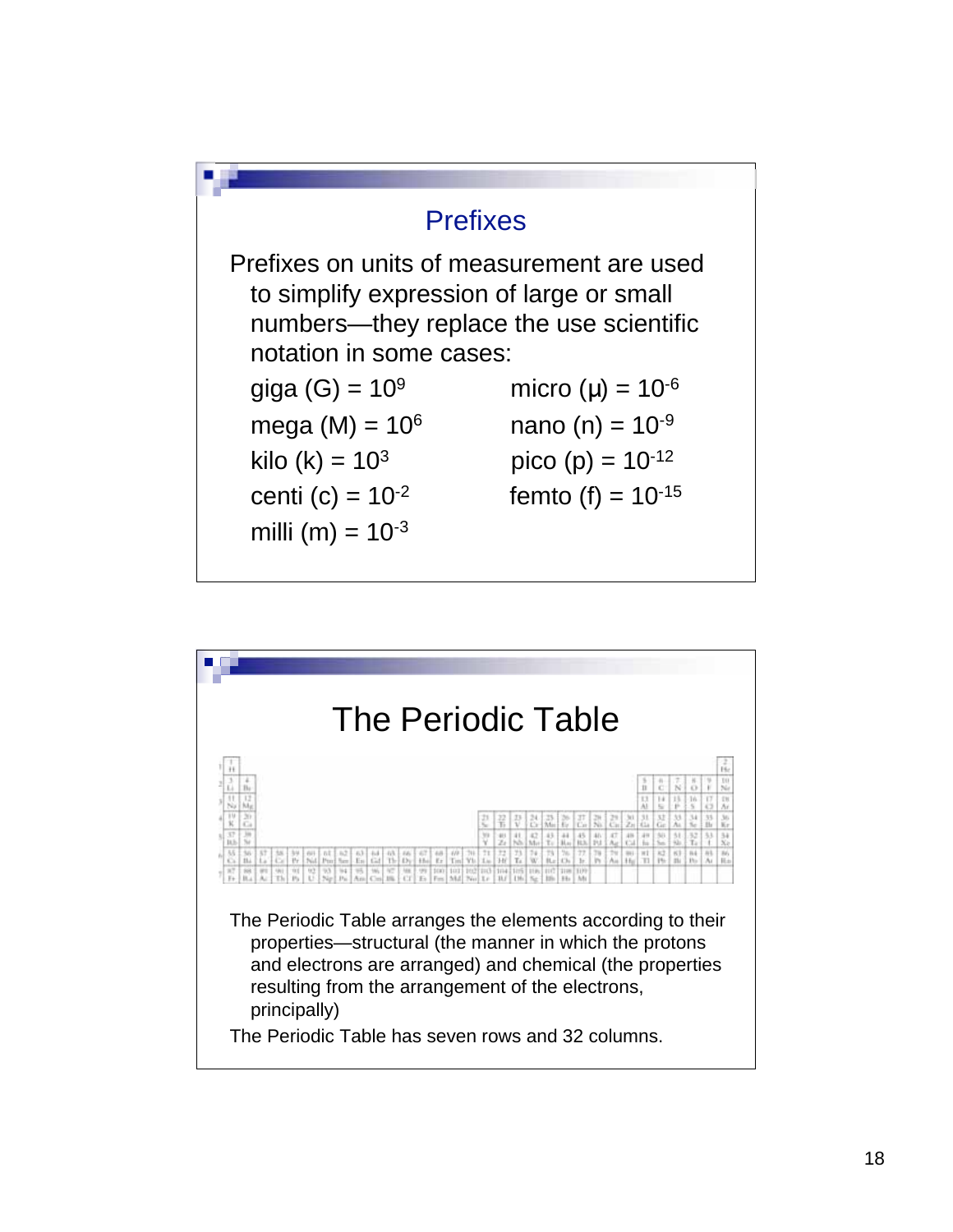

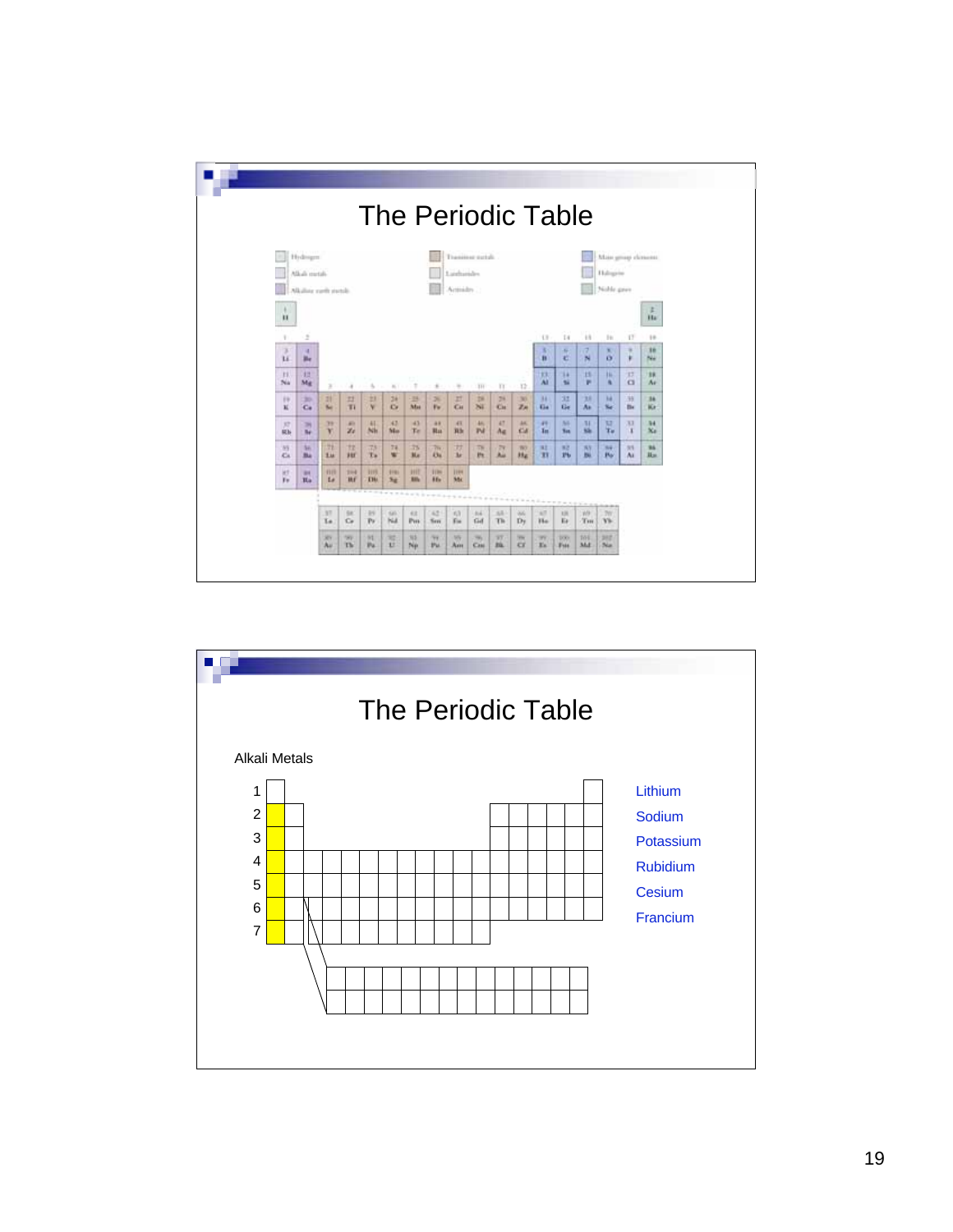|                 |                                                  |                  |                          |                      |                |                     |                           |                        |                    |                      |                                   |                      | <b>The Periodic Table</b> |                     |                                                 |               |            |
|-----------------|--------------------------------------------------|------------------|--------------------------|----------------------|----------------|---------------------|---------------------------|------------------------|--------------------|----------------------|-----------------------------------|----------------------|---------------------------|---------------------|-------------------------------------------------|---------------|------------|
|                 | Holman<br>Alkali metali.<br>Alkalias rach earth. |                  |                          |                      |                |                     |                           | Landsander<br>Armides: | Transitor netali   |                      |                                   |                      |                           |                     | Main group classess:<br>Halophy<br>Nichle griev |               |            |
| п               |                                                  |                  |                          |                      |                |                     |                           |                        |                    |                      |                                   |                      |                           |                     |                                                 |               | z<br>Hal   |
|                 | ÷                                                |                  |                          |                      |                |                     |                           |                        |                    |                      |                                   | $\cup$               | 14                        | $+1$                | h                                               | 17            | 10         |
| ×<br>ü          | u<br>Be.                                         |                  |                          |                      |                |                     |                           |                        |                    |                      |                                   | x<br>n               | ×<br>石                    | $\overline{a}$<br>N | ×<br>ø                                          | ٠<br>¥        | 38<br>NH   |
| <b>EL</b><br>Na | 33<br>Mg                                         | $\mathbb{R}^2$   | ٠                        | ×.                   | $\sim$         |                     | ×                         | ×                      | TH.                | TT.                  | 32                                | 抹<br><b>AI</b>       | 14<br>×                   | 13<br>×             | <b>IL</b><br>٠                                  | 耳<br>$\alpha$ | m<br>Ar    |
| 19<br>ĸ         | 30<br>$C_{\rm H}$                                | 28<br>Sec.       | 22<br>T1                 | 23<br>×              | 36<br>$\alpha$ | 35<br><b>Mas</b>    | $\mathfrak{m}$<br>Vw      | 22<br>Cн               | TH.<br>84          | 24<br>CH.            | 30 <sub>1</sub><br>$\mathbb{Z}$ m | 33<br>Ga.            | 31<br>Ge-                 | 33<br>A»            | M<br>s.                                         | 38<br>B+      | 34<br>Kr   |
| 32<br>ich-      | $\rightarrow$<br>Be-                             | 39<br>Y.         | all is<br>$\mathbb{Z}^d$ | 41<br>Nh             | 43<br>Mo.      | 43<br>Te.           | 48<br>Blue.               | 4%<br>算法               | 46.<br>Pd.         | 47<br>A <sub>E</sub> | AK.<br><b>CA</b>                  | 49<br>1 <sub>m</sub> | Mi<br><b>Sec</b>          | $1$<br>Sh.          | <b>KI</b><br>Tu.                                | X3<br>x       | 34<br>36x  |
| 35<br>Ka.       | So.<br>Ba                                        | Ħ<br><b>List</b> | m<br>380                 | 73<br>To.            | 74<br>w        | 75<br>Mar.          | $\frac{1}{2}$<br>Ou.      | w<br>3x                | 78<br>Pr.          | 79<br>Au             | W3<br>$H_{4}$                     | ×<br>m               | 82<br>2 <sub>b</sub>      | W<br>ш              | ma.<br>Bý.                                      | 35<br>Ai      | 36<br>Han. |
| jet<br>Fu)      | <b>BH</b><br>Ha                                  | 919<br>14        | 204<br>w                 | 1119<br><b>THI</b>   | 9191<br>No.    | HIT<br><b>Billy</b> | <b>FEBR</b><br><b>BEw</b> | <b>IFF</b><br>Mix      |                    |                      |                                   |                      |                           |                     |                                                 |               |            |
|                 |                                                  |                  |                          |                      |                |                     |                           |                        | <b>Britain Ave</b> |                      |                                   |                      |                           |                     |                                                 |               |            |
|                 |                                                  | 3T<br>Te         | SR.<br>G                 | $-14$<br>$P_{\rm F}$ | Sale.<br>NA    | Vit.<br>Pm          | 42<br>Tierr               | 1/3<br>Fis             | 64<br>tid          | Ab.<br>Th            | <b>Volume</b><br>$D_7$            | AT.<br>Ho            | 136<br>Er                 | WH<br>THE           | 7W<br>Vk.                                       |               |            |
|                 |                                                  | XY.<br>Au        | 1993<br>Th.              | $^{14}$<br>Pu.       | ×<br>u         | 315<br>Ne           | <b>No.</b><br><b>Pu</b>   | W<br>Asse              | $^{10}$<br>Cast.   | 37<br><b>Bk</b>      | <b>WH</b><br><b>CE</b>            | W<br>Es.             | 100<br>F <sub>144</sub>   | 101<br>Md.          | 382<br><b>Sur</b>                               |               |            |

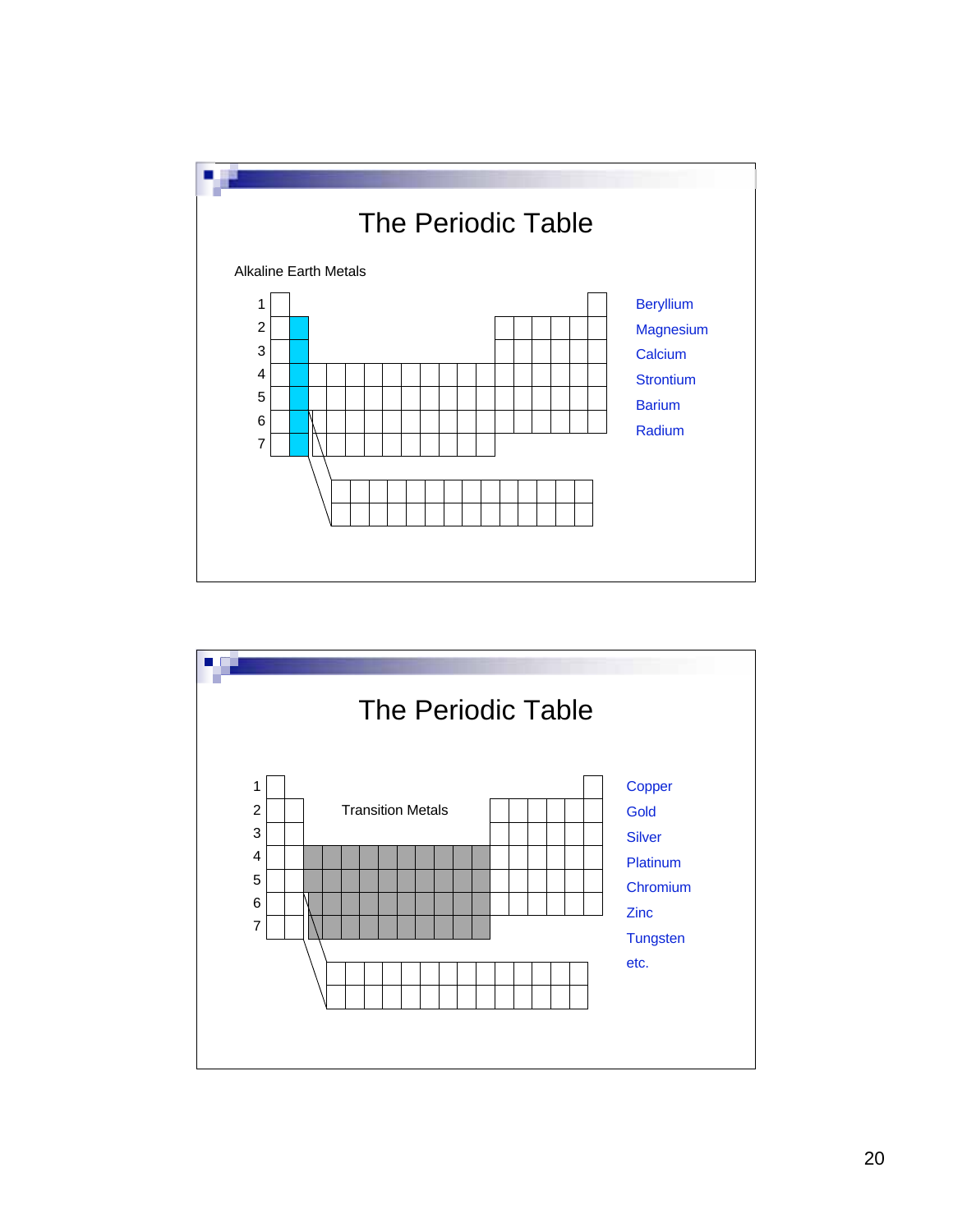

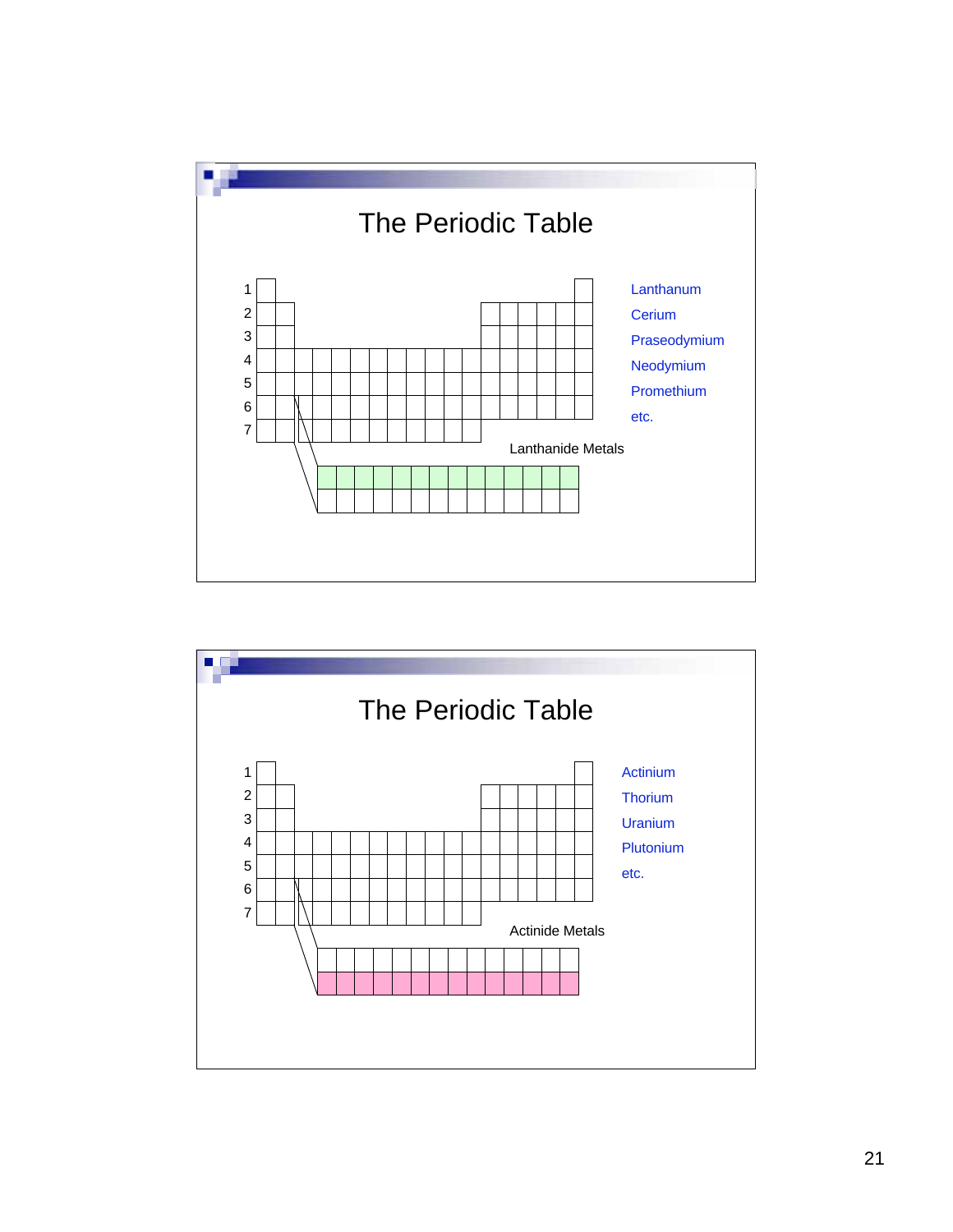

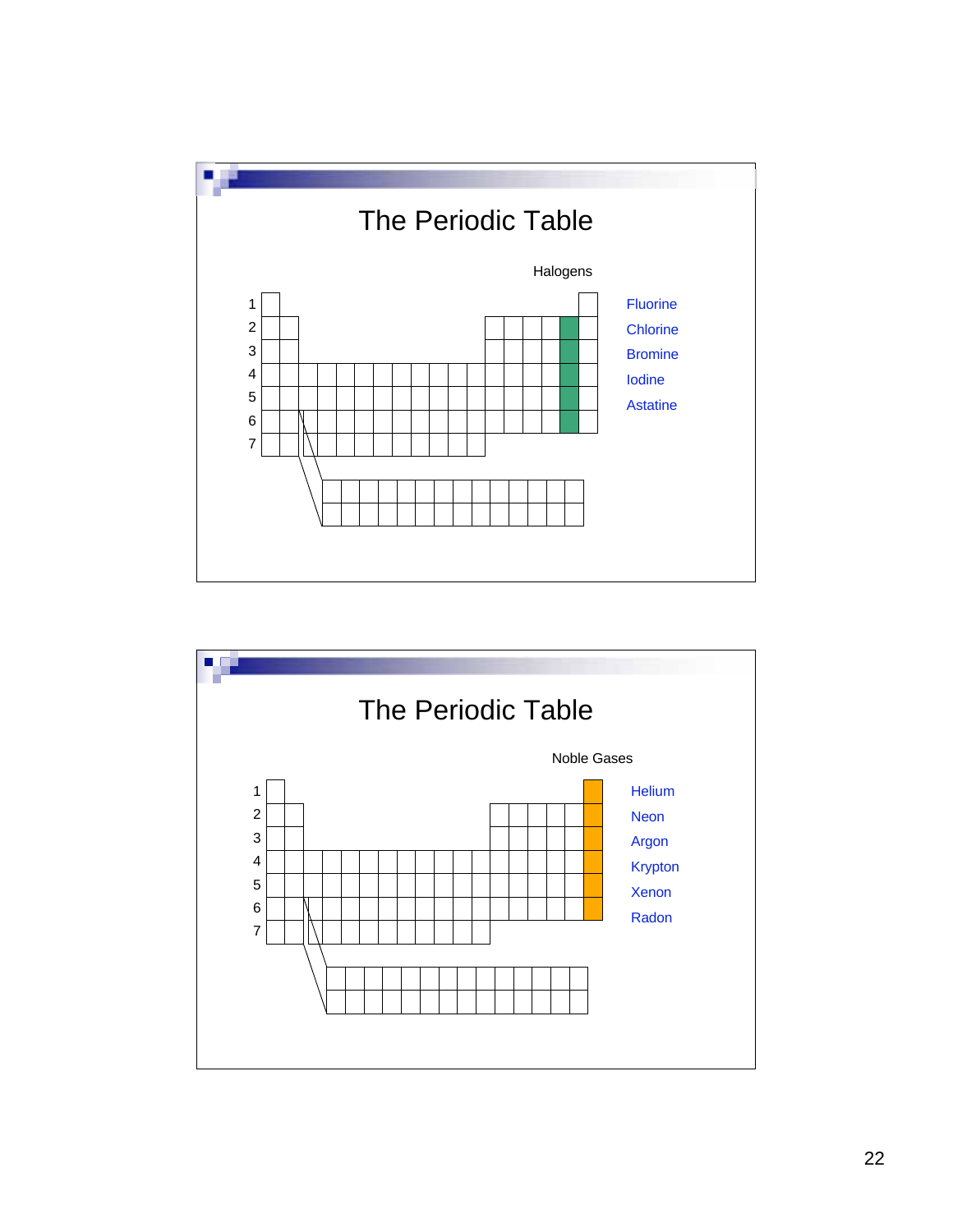

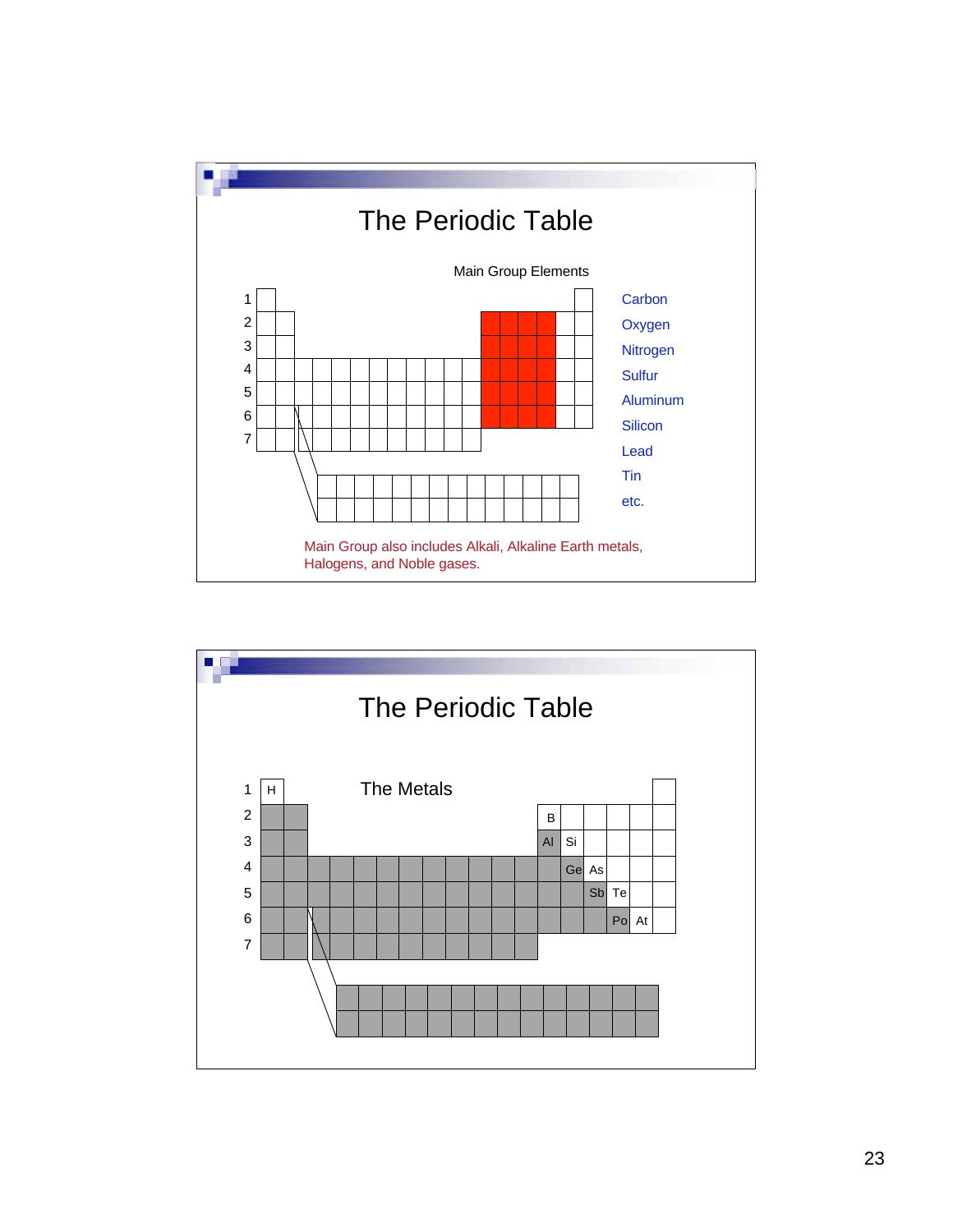

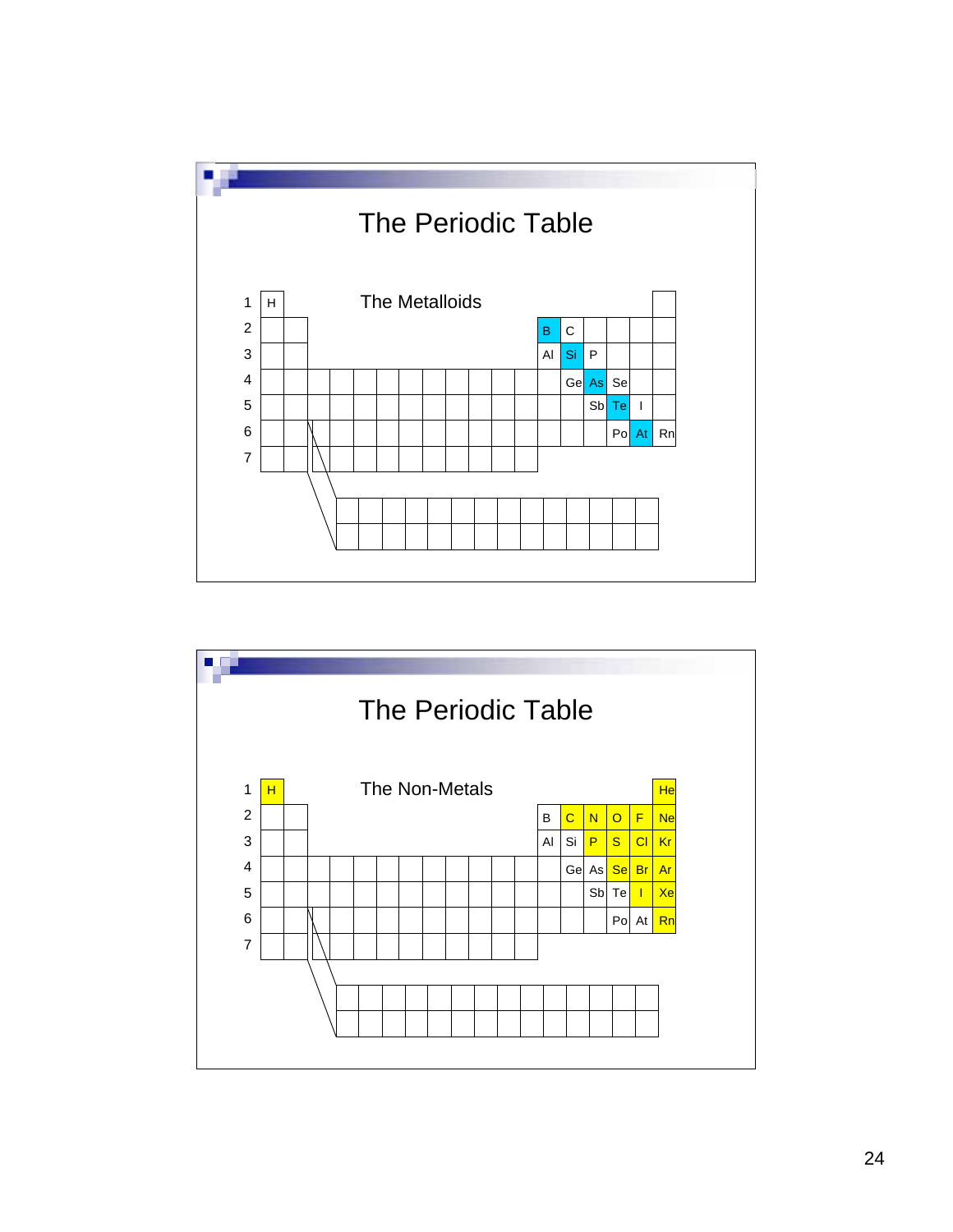